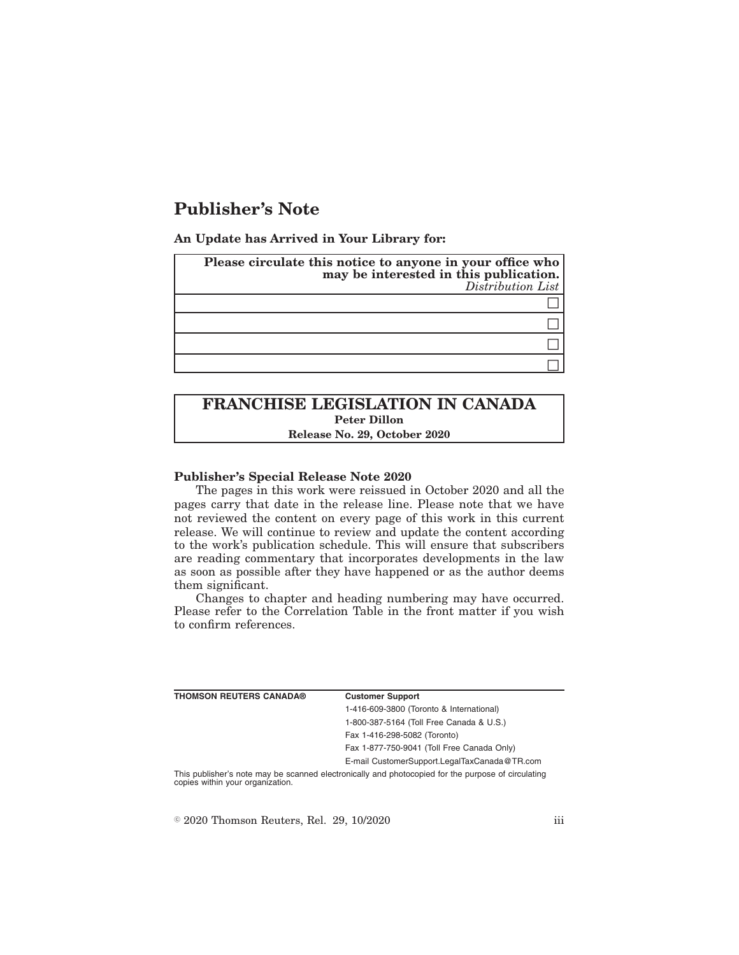# **Publisher's Note**

**An Update has Arrived in Your Library for:**

| Please circulate this notice to anyone in your office who<br>may be interested in this publication.<br>Distribution List |
|--------------------------------------------------------------------------------------------------------------------------|
|                                                                                                                          |
|                                                                                                                          |
|                                                                                                                          |
|                                                                                                                          |

# **FRANCHISE LEGISLATION IN CANADA Peter Dillon Release No. 29, October 2020**

## **Publisher's Special Release Note 2020**

The pages in this work were reissued in October 2020 and all the pages carry that date in the release line. Please note that we have not reviewed the content on every page of this work in this current release. We will continue to review and update the content according to the work's publication schedule. This will ensure that subscribers are reading commentary that incorporates developments in the law as soon as possible after they have happened or as the author deems them significant.

Changes to chapter and heading numbering may have occurred. Please refer to the Correlation Table in the front matter if you wish to confirm references.

| <b>THOMSON REUTERS CANADA®</b>   | <b>Customer Support</b>                                                                            |
|----------------------------------|----------------------------------------------------------------------------------------------------|
|                                  | 1-416-609-3800 (Toronto & International)                                                           |
|                                  | 1-800-387-5164 (Toll Free Canada & U.S.)                                                           |
|                                  | Fax 1-416-298-5082 (Toronto)                                                                       |
|                                  | Fax 1-877-750-9041 (Toll Free Canada Only)                                                         |
|                                  | E-mail CustomerSupport.LegalTaxCanada@TR.com                                                       |
| copies within your organization. | This publisher's note may be scanned electronically and photocopied for the purpose of circulating |

 $\textdegree$  2020 Thomson Reuters, Rel. 29, 10/2020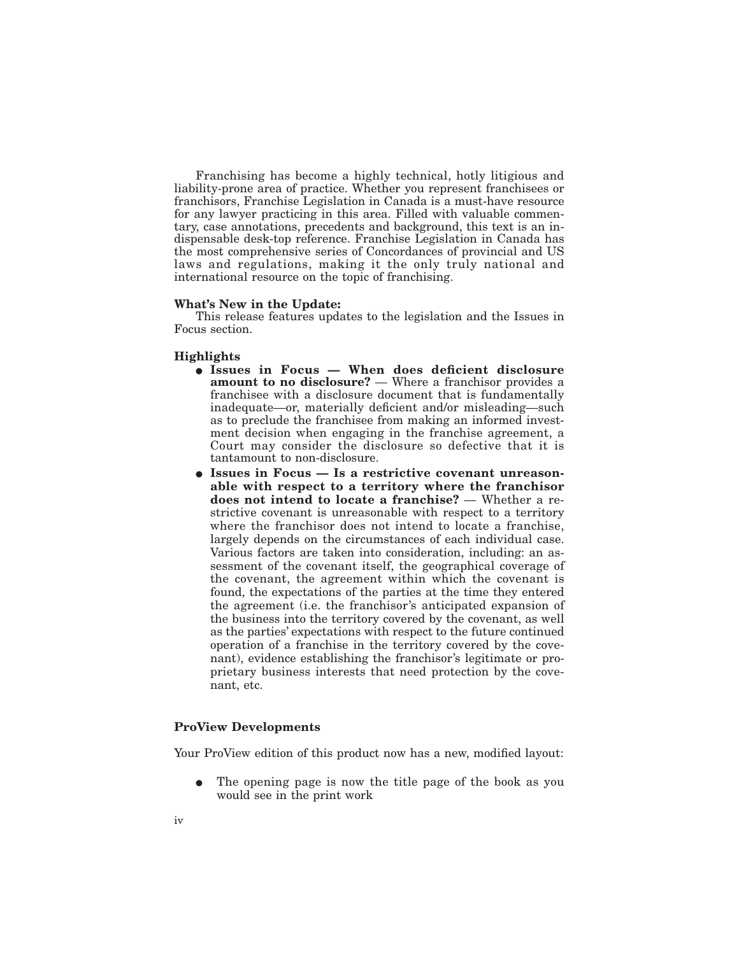Franchising has become a highly technical, hotly litigious and liability-prone area of practice. Whether you represent franchisees or franchisors, Franchise Legislation in Canada is a must-have resource for any lawyer practicing in this area. Filled with valuable commentary, case annotations, precedents and background, this text is an indispensable desk-top reference. Franchise Legislation in Canada has the most comprehensive series of Concordances of provincial and US laws and regulations, making it the only truly national and international resource on the topic of franchising.

#### **What's New in the Update:**

This release features updates to the legislation and the Issues in Focus section.

#### **Highlights**

- E **Issues in Focus When does deficient disclosure amount to no disclosure?** — Where a franchisor provides a franchisee with a disclosure document that is fundamentally inadequate—or, materially deficient and/or misleading—such as to preclude the franchisee from making an informed investment decision when engaging in the franchise agreement, a Court may consider the disclosure so defective that it is tantamount to non-disclosure.
- E **Issues in Focus Is a restrictive covenant unreasonable with respect to a territory where the franchisor does not intend to locate a franchise?** — Whether a restrictive covenant is unreasonable with respect to a territory where the franchisor does not intend to locate a franchise, largely depends on the circumstances of each individual case. Various factors are taken into consideration, including: an assessment of the covenant itself, the geographical coverage of the covenant, the agreement within which the covenant is found, the expectations of the parties at the time they entered the agreement (i.e. the franchisor's anticipated expansion of the business into the territory covered by the covenant, as well as the parties' expectations with respect to the future continued operation of a franchise in the territory covered by the covenant), evidence establishing the franchisor's legitimate or proprietary business interests that need protection by the covenant, etc.

## **ProView Developments**

Your ProView edition of this product now has a new, modified layout:

The opening page is now the title page of the book as you would see in the print work